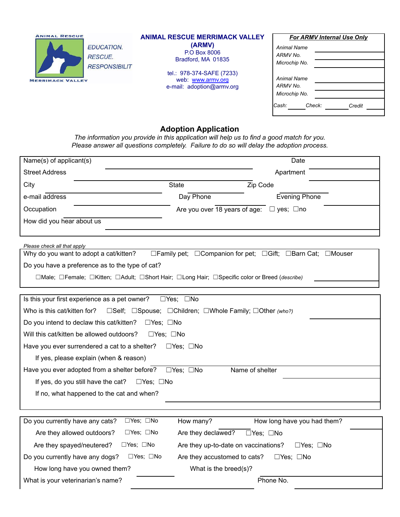| <b>ANIMAL RESCUE</b><br><b>EDUCATION.</b><br><b>RESCUE.</b><br><b>RESPONSIBILIT</b><br><b>MERRIMACK VALLEY</b> | <b>ANIMAL RESCUE MERRIMACK VALLEY</b><br>(ARMV)<br>P.O Box 8006<br>Bradford, MA 01835<br>tel.: 978-374-SAFE (7233)<br>web: www.armv.org<br>e-mail: adoption@armv.org | <b>For ARMV Internal Use Only</b><br>Animal Name<br>ARMV No.<br>Microchip No.<br>Animal Name<br>ARMV No.<br>Microchip No. |
|----------------------------------------------------------------------------------------------------------------|----------------------------------------------------------------------------------------------------------------------------------------------------------------------|---------------------------------------------------------------------------------------------------------------------------|
|                                                                                                                |                                                                                                                                                                      | Cash:<br>Check:<br>Credit                                                                                                 |

## **Adoption Application**

*The information you provide in this application will help us to find a good match for you. Please answer all questions completely. Failure to do so will delay the adoption process.*

| Name(s) of applicant(s)                                                                                             |                                                        | Date                                                       |  |  |  |  |
|---------------------------------------------------------------------------------------------------------------------|--------------------------------------------------------|------------------------------------------------------------|--|--|--|--|
| <b>Street Address</b><br>Apartment                                                                                  |                                                        |                                                            |  |  |  |  |
| City                                                                                                                | <b>State</b>                                           | Zip Code                                                   |  |  |  |  |
| e-mail address                                                                                                      | Day Phone                                              | <b>Evening Phone</b>                                       |  |  |  |  |
| Occupation                                                                                                          | Are you over 18 years of age:<br>$\Box$ yes; $\Box$ no |                                                            |  |  |  |  |
| How did you hear about us                                                                                           |                                                        |                                                            |  |  |  |  |
|                                                                                                                     |                                                        |                                                            |  |  |  |  |
| Please check all that apply                                                                                         |                                                        |                                                            |  |  |  |  |
| Why do you want to adopt a cat/kitten?                                                                              |                                                        | □Family pet; □Companion for pet; □Gift; □Barn Cat; □Mouser |  |  |  |  |
| Do you have a preference as to the type of cat?                                                                     |                                                        |                                                            |  |  |  |  |
| □Male; □Female; □Kitten; □Adult; □Short Hair; □Long Hair; □Specific color or Breed (describe)                       |                                                        |                                                            |  |  |  |  |
|                                                                                                                     |                                                        |                                                            |  |  |  |  |
| Is this your first experience as a pet owner?                                                                       | $\Box$ Yes; $\Box$ No                                  |                                                            |  |  |  |  |
| Who is this cat/kitten for?<br>□Self; □Spouse; □Children; □Whole Family; □Other (who?)                              |                                                        |                                                            |  |  |  |  |
| Do you intend to declaw this cat/kitten?<br>$\Box$ Yes; $\Box$ No                                                   |                                                        |                                                            |  |  |  |  |
| Will this cat/kitten be allowed outdoors?<br>$\square$ Yes: $\square$ No                                            |                                                        |                                                            |  |  |  |  |
| Have you ever surrendered a cat to a shelter?                                                                       | $\Box$ Yes; $\Box$ No                                  |                                                            |  |  |  |  |
| If yes, please explain (when & reason)                                                                              |                                                        |                                                            |  |  |  |  |
| Name of shelter<br>Have you ever adopted from a shelter before?<br>$\Box$ Yes; $\Box$ No                            |                                                        |                                                            |  |  |  |  |
| If yes, do you still have the cat?<br>$\Box$ Yes; $\Box$ No                                                         |                                                        |                                                            |  |  |  |  |
| If no, what happened to the cat and when?                                                                           |                                                        |                                                            |  |  |  |  |
|                                                                                                                     |                                                        |                                                            |  |  |  |  |
| □Yes; □No<br>Do you currently have any cats?                                                                        | How many?                                              | How long have you had them?                                |  |  |  |  |
| $\Box$ Yes; $\Box$ No<br>Are they allowed outdoors?<br>Are they declawed?<br>$\Box$ Yes: $\Box$ No                  |                                                        |                                                            |  |  |  |  |
| $\Box$ Yes; $\Box$ No<br>Are they spayed/neutered?<br>Are they up-to-date on vaccinations?<br>$\Box$ Yes; $\Box$ No |                                                        |                                                            |  |  |  |  |
| Do you currently have any dogs?<br>$\Box$ Yes; $\Box$ No<br>Are they accustomed to cats?<br>$\Box$ Yes; $\Box$ No   |                                                        |                                                            |  |  |  |  |
| How long have you owned them?<br>What is the breed(s)?                                                              |                                                        |                                                            |  |  |  |  |
| Phone No.<br>What is your veterinarian's name?                                                                      |                                                        |                                                            |  |  |  |  |
|                                                                                                                     |                                                        |                                                            |  |  |  |  |